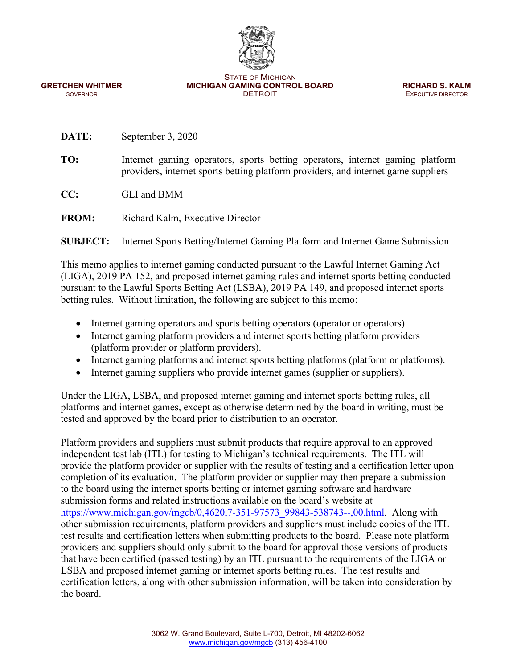

STATE OF MICHIGAN **GRETCHEN WHITMER MICHIGAN GAMING CONTROL BOARD <b>RICHARD S. KALM GOVERNOR GOVERNOR CONTROL BOARD EXECUTIVE DIRECTOR** GOVERNOR GOVERNOR CONSUMING THE SECUTIVE DIRECTOR DETROIT THE SECUTIVE DIRECTOR CONSUMING THE SECUTIVE DIRECTOR

**DATE:** September 3, 2020

**TO:** Internet gaming operators, sports betting operators, internet gaming platform providers, internet sports betting platform providers, and internet game suppliers

**CC:** GLI and BMM

**FROM:** Richard Kalm, Executive Director

**SUBJECT:** Internet Sports Betting/Internet Gaming Platform and Internet Game Submission

This memo applies to internet gaming conducted pursuant to the Lawful Internet Gaming Act (LIGA), 2019 PA 152, and proposed internet gaming rules and internet sports betting conducted pursuant to the Lawful Sports Betting Act (LSBA), 2019 PA 149, and proposed internet sports betting rules. Without limitation, the following are subject to this memo:

- Internet gaming operators and sports betting operators (operator or operators).
- Internet gaming platform providers and internet sports betting platform providers (platform provider or platform providers).
- Internet gaming platforms and internet sports betting platforms (platform or platforms).
- Internet gaming suppliers who provide internet games (supplier or suppliers).

Under the LIGA, LSBA, and proposed internet gaming and internet sports betting rules, all platforms and internet games, except as otherwise determined by the board in writing, must be tested and approved by the board prior to distribution to an operator.

Platform providers and suppliers must submit products that require approval to an approved independent test lab (ITL) for testing to Michigan's technical requirements. The ITL will provide the platform provider or supplier with the results of testing and a certification letter upon completion of its evaluation. The platform provider or supplier may then prepare a submission to the board using the internet sports betting or internet gaming software and hardware submission forms and related instructions available on the board's website at https://www.michigan.gov/mgcb/0,4620,7-351-97573\_99843-538743--,00.html. Along with other submission requirements, platform providers and suppliers must include copies of the ITL test results and certification letters when submitting products to the board. Please note platform providers and suppliers should only submit to the board for approval those versions of products that have been certified (passed testing) by an ITL pursuant to the requirements of the LIGA or LSBA and proposed internet gaming or internet sports betting rules. The test results and certification letters, along with other submission information, will be taken into consideration by the board.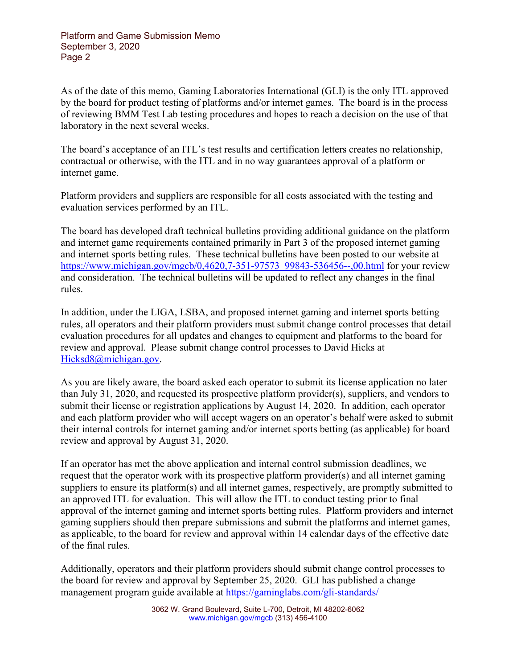As of the date of this memo, Gaming Laboratories International (GLI) is the only ITL approved by the board for product testing of platforms and/or internet games. The board is in the process of reviewing BMM Test Lab testing procedures and hopes to reach a decision on the use of that laboratory in the next several weeks.

The board's acceptance of an ITL's test results and certification letters creates no relationship, contractual or otherwise, with the ITL and in no way guarantees approval of a platform or internet game.

Platform providers and suppliers are responsible for all costs associated with the testing and evaluation services performed by an ITL.

The board has developed draft technical bulletins providing additional guidance on the platform and internet game requirements contained primarily in Part 3 of the proposed internet gaming and internet sports betting rules. These technical bulletins have been posted to our website at https://www.michigan.gov/mgcb/0,4620,7-351-97573\_99843-536456--,00.html for your review and consideration. The technical bulletins will be updated to reflect any changes in the final rules.

In addition, under the LIGA, LSBA, and proposed internet gaming and internet sports betting rules, all operators and their platform providers must submit change control processes that detail evaluation procedures for all updates and changes to equipment and platforms to the board for review and approval. Please submit change control processes to David Hicks at Hicksd8@michigan.gov.

As you are likely aware, the board asked each operator to submit its license application no later than July 31, 2020, and requested its prospective platform provider(s), suppliers, and vendors to submit their license or registration applications by August 14, 2020. In addition, each operator and each platform provider who will accept wagers on an operator's behalf were asked to submit their internal controls for internet gaming and/or internet sports betting (as applicable) for board review and approval by August 31, 2020.

If an operator has met the above application and internal control submission deadlines, we request that the operator work with its prospective platform provider(s) and all internet gaming suppliers to ensure its platform(s) and all internet games, respectively, are promptly submitted to an approved ITL for evaluation. This will allow the ITL to conduct testing prior to final approval of the internet gaming and internet sports betting rules. Platform providers and internet gaming suppliers should then prepare submissions and submit the platforms and internet games, as applicable, to the board for review and approval within 14 calendar days of the effective date of the final rules.

Additionally, operators and their platform providers should submit change control processes to the board for review and approval by September 25, 2020. GLI has published a change management program guide available at https://gaminglabs.com/gli-standards/